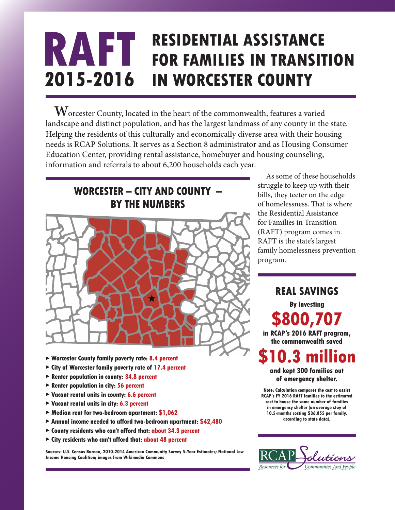## **RESIDENTIAL ASSISTANCE FOR FAMILIES IN TRANSITION IN WORCESTER COUNTY RAFT 2015-2016**

**W**orcester County, located in the heart of the commonwealth, features a varied landscape and distinct population, and has the largest landmass of any county in the state. Helping the residents of this culturally and economically diverse area with their housing needs is RCAP Solutions. It serves as a Section 8 administrator and as Housing Consumer Education Center, providing rental assistance, homebuyer and housing counseling, information and referrals to about 6,200 households each year.

# **WORCESTER – CITY AND COUNTY – BY THE NUMBERS**



- ▶ **Worcester County family poverty rate: 8.4 percent**
- ▶ **City of Worcester family poverty rate of 17.4 percent**
- ▶ **Renter population in county: 34.8 percent**
- ▶ **Renter population in city: 56 percent**
- ▶ **Vacant rental units in county: 6.6 percent**
- ▶ **Vacant rental units in city: 6.3 percent**
- ▶ **Median rent for two-bedroom apartment: \$1,062**
- ▶ **Annual income needed to afford two-bedroom apartment: \$42,480**
- ▶ **County residents who can't afford that: about 34.3 percent**
- ▶ **City residents who can't afford that: about 48 percent**

**Sources: U.S. Census Bureau, 2010-2014 American Community Survey 5-Year Estimates; National Low Income Housing Coalition; images from Wikimedia Commons**

As some of these households struggle to keep up with their bills, they teeter on the edge of homelessness. That is where the Residential Assistance for Families in Transition (RAFT) program comes in. RAFT is the state's largest family homelessness prevention program.

**REAL SAVINGS By investing \$800,707 in RCAP's 2016 RAFT program, the commonwealth saved** 

**\$10.3 million and kept 300 families out**

**of emergency shelter.** 

**Note: Calculation compares the cost to assist RCAP's FY 2016 RAFT families to the estimated cost to house the same number of families in emergency shelter (an average stay of 10.5-months costing \$36,855 per family, according to state data).**

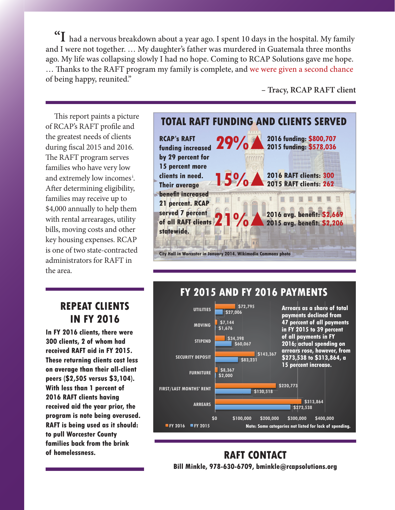**"I** had a nervous breakdown about a year ago. I spent 10 days in the hospital. My family and I were not together. … My daughter's father was murdered in Guatemala three months ago. My life was collapsing slowly I had no hope. Coming to RCAP Solutions gave me hope. ... Thanks to the RAFT program my family is complete, and we were given a second chance of being happy, reunited."

**– Tracy, RCAP RAFT client**

This report paints a picture of RCAP's RAFT profile and the greatest needs of clients during fiscal  $2015$  and  $2016$ . The RAFT program serves families who have very low and extremely low incomes<sup>i</sup>. After determining eligibility, families may receive up to \$4,000 annually to help them with rental arrearages, utility bills, moving costs and other key housing expenses. RCAP is one of two state-contracted administrators for RAFT in the area.

#### **TOTAL RAFT FUNDING AND CLIENTS SERVED RCAP's RAFT 2016 funding: \$800,707**



## **REPEAT CLIENTS IN FY 2016**

**In FY 2016 clients, there were 300 clients, 2 of whom had received RAFT aid in FY 2015. These returning clients cost less on average than their all-client peers (\$2,505 versus \$3,104). With less than 1 percent of 2016 RAFT clients having received aid the year prior, the program is note being overused. RAFT is being used as it should: to pull Worcester County families back from the brink of homelessness.**

# **FY 2015 AND FY 2016 PAYMENTS**



## **RAFT CONTACT Bill Minkle, 978-630-6709, bminkle@rcapsolutions.org**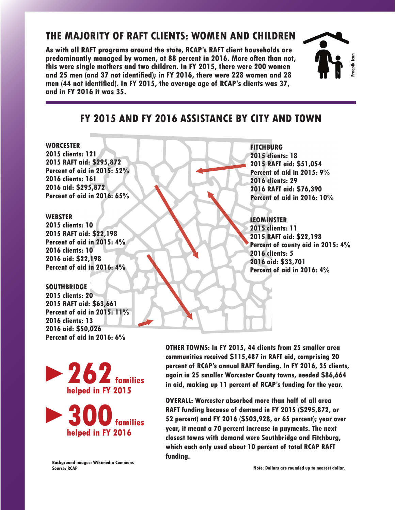## **THE MAJORITY OF RAFT CLIENTS: WOMEN AND CHILDREN**

**As with all RAFT programs around the state, RCAP's RAFT client households are predominantly managed by women, at 88 percent in 2016. More often than not, this were single mothers and two children. In FY 2015, there were 200 women**  and 25 men (and 37 not identified); in FY 2016, there were 228 women and 28 men (44 not identified). In FY 2015, the average age of RCAP's clients was 37, **and in FY 2016 it was 35.**



## **FY 2015 AND FY 2016 ASSISTANCE BY CITY AND TOWN**

 $\blacktriangleleft$ 

▶

▶

▶

▶

#### **WORCESTER**

**2015 clients: 121 2015 RAFT aid: \$295,872 Percent of aid in 2015: 52% 2016 clients: 161 2016 aid: \$295,872 Percent of aid in 2016: 65%**

#### **WEBSTER**

**2015 clients: 10 2015 RAFT aid: \$22,198 Percent of aid in 2015: 4% 2016 clients: 10 2016 aid: \$22,198 Percent of aid in 2016: 4%**

**SOUTHBRIDGE 2015 clients: 20 2015 RAFT aid: \$63,661 Percent of aid in 2015: 11% 2016 clients: 13 2016 aid: \$50,026 Percent of aid in 2016: 6%**

**FITCHBURG 2015 clients: 18 2015 RAFT aid: \$51,054 Percent of aid in 2015: 9% 2016 clients: 29 2016 RAFT aid: \$76,390 Percent of aid in 2016: 10%**

### **LEOMINSTER**

**2015 clients: 11 2015 RAFT aid: \$22,198 Percent of county aid in 2015: 4% 2016 clients: 5 2016 aid: \$33,701 Percent of aid in 2016: 4%**

**262** families **helped in FY 2015**



**OTHER TOWNS: In FY 2015, 44 clients from 25 smaller area communities received \$115,487 in RAFT aid, comprising 20 percent of RCAP's annual RAFT funding. In FY 2016, 35 clients, again in 25 smaller Worcester County towns, needed \$86,664 in aid, making up 11 percent of RCAP's funding for the year.**

**OVERALL: Worcester absorbed more than half of all area RAFT funding because of demand in FY 2015 (\$295,872, or 52 percent) and FY 2016 (\$503,928, or 65 percent); year over year, it meant a 70 percent increase in payments. The next closest towns with demand were Southbridge and Fitchburg, which each only used about 10 percent of total RCAP RAFT funding.** 

**Background images: Wikimedia Commons Source: RCAP**